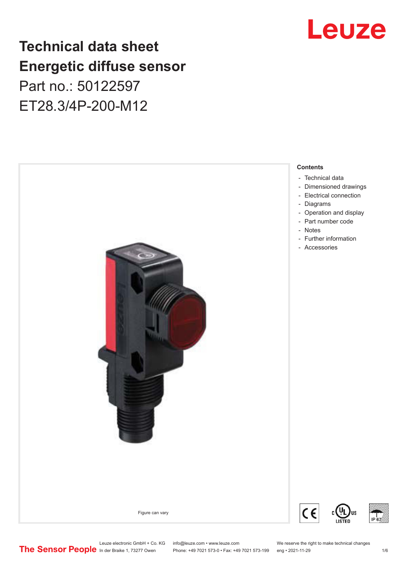# Leuze

## **Technical data sheet Energetic diffuse sensor** Part no.: 50122597

ET28.3/4P-200-M12



Leuze electronic GmbH + Co. KG info@leuze.com • www.leuze.com We reserve the right to make technical changes<br> **The Sensor People** in der Braike 1, 73277 Owen Phone: +49 7021 573-0 • Fax: +49 7021 573-199 eng • 2021-11-29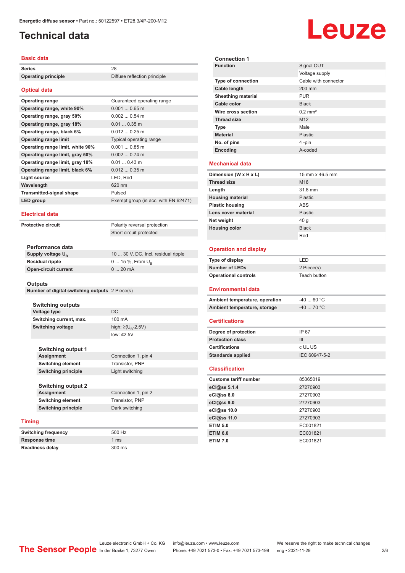### <span id="page-1-0"></span>**Technical data**

| Basic data                       |                                      |
|----------------------------------|--------------------------------------|
| <b>Series</b>                    | 28                                   |
| <b>Operating principle</b>       | Diffuse reflection principle         |
|                                  |                                      |
| <b>Optical data</b>              |                                      |
| <b>Operating range</b>           | Guaranteed operating range           |
| Operating range, white 90%       | $0.0010.65$ m                        |
| Operating range, gray 50%        | $0.0020.54$ m                        |
| Operating range, gray 18%        | $0.010.35$ m                         |
| Operating range, black 6%        | $0.0120.25$ m                        |
| <b>Operating range limit</b>     | Typical operating range              |
| Operating range limit, white 90% | $0.0010.85$ m                        |
| Operating range limit, gray 50%  | $0.0020.74$ m                        |
| Operating range limit, gray 18%  | $0.010.43$ m                         |
| Operating range limit, black 6%  | $0.0120.35$ m                        |
| Light source                     | LED, Red                             |
| Wavelength                       | 620 nm                               |
| <b>Transmitted-signal shape</b>  | Pulsed                               |
| <b>LED</b> group                 | Exempt group (in acc. with EN 62471) |
|                                  |                                      |

#### **Electrical data**

**Protective circuit** Polarity reversal protection

Short circuit protected

| Performance data              |                                     |
|-------------------------------|-------------------------------------|
| Supply voltage U <sub>n</sub> | 10  30 V, DC, Incl. residual ripple |
| Residual ripple               | 0  15 %, From $U_{p}$               |
| Open-circuit current          | $020$ mA                            |
|                               |                                     |

#### **Outputs**

| Number of digital switching outputs 2 Piece(s) |  |  |  |  |
|------------------------------------------------|--|--|--|--|
|------------------------------------------------|--|--|--|--|

**Switching outputs Voltage type** DC **Switching current, max.** 100 mA **Switching voltage** 

**Switching output 1**

high:  $\geq$ (U<sub>p</sub>-2.5V) low: ≤2.5V

**Assignment** Connection 1, pin 4 **Switching element** Transistor, PNP **Switching principle** Light switching

**Switching output 2 Assignment** Connection 1, pin 2 **Switching element** Transistor, PNP **Switching principle** Dark switching

#### **Timing**

| <b>Switching frequency</b> | 500 Hz          |
|----------------------------|-----------------|
| <b>Response time</b>       | 1 <sub>ms</sub> |
| <b>Readiness delay</b>     | 300 ms          |

**Connection 1 Signal OUT** Voltage supply **Type of connection** Cable with connector **Cable length** 200 mm **Sheathing material** PUR **Cable color** Black **Wire cross section** 0.2 mm<sup>2</sup> **Thread size** M12 **Type Male Material** Plastic **No. of pins** 4 -pin **Encoding** A-coded **Mechanical data Dimension (W x H x L)** 15 mm x 46.5 mm **Thread size** M18 **Length** 31.8 mm **Housing material Housing material Plastic Plastic housing** ABS **Lens cover material** Plastic **Net weight** 40 g **Housing color Black** Red **Operation and display Type of display** LED **Number of LEDs** 2 Piece(s) **Operational controls** Teach button **Environmental data Ambient temperature, operation** -40 ... 60 °C **Ambient temperature, storage**  $-40$  ... 70 °C **Certifications Degree of protection** IP 67 **Protection class** III **Certifications** c UL US **Standards applied** IEC 60947-5-2 **Classification Customs tariff number** 85365019 **eCl@ss 5.1.4** 27270903 **eCl@ss 8.0** 27270903 **eCl@ss 9.0** 27270903 **eCl@ss 10.0** 27270903 **eCl@ss 11.0** 27270903 **ETIM 5.0** EC001821 **ETIM 6.0** EC001821



**ETIM 7.0** EC001821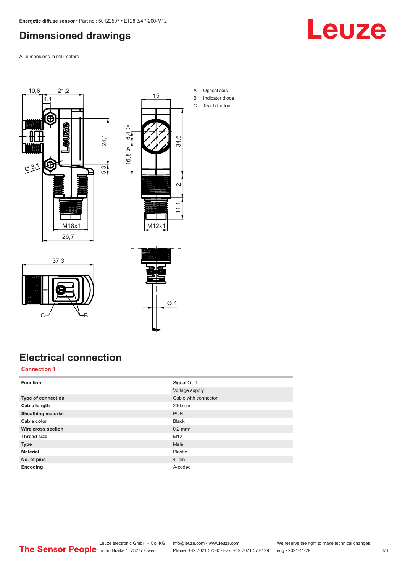#### <span id="page-2-0"></span>**Dimensioned drawings**

All dimensions in millimeters



37,3



- A Optical axis B Indicator diode
- C Teach button

## **Electrical connection**

 $C \rightarrow C$ 

#### **Connection 1**

| <b>Function</b>           | Signal OUT            |
|---------------------------|-----------------------|
|                           | Voltage supply        |
| Type of connection        | Cable with connector  |
| Cable length              | 200 mm                |
| <b>Sheathing material</b> | <b>PUR</b>            |
| Cable color               | <b>Black</b>          |
| Wire cross section        | $0.2$ mm <sup>2</sup> |
| <b>Thread size</b>        | M <sub>12</sub>       |
| <b>Type</b>               | Male                  |
| <b>Material</b>           | Plastic               |
| No. of pins               | $4 - pin$             |
| Encoding                  | A-coded               |

Ø 4

Leuze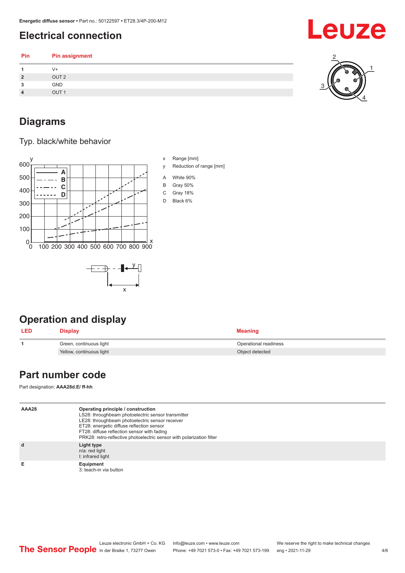### <span id="page-3-0"></span>**Electrical connection**

| V+<br>OUT <sub>2</sub><br>◠<br>ø<br>GND<br>-<br>OUT <sub>1</sub> | Pin | Pin assignment |  |
|------------------------------------------------------------------|-----|----------------|--|
|                                                                  |     |                |  |
|                                                                  |     |                |  |
|                                                                  |     |                |  |
|                                                                  |     |                |  |

#### **Diagrams**

Typ. black/white behavior



x

- x Range [mm]
- y Reduction of range [mm]
- A White 90%
- B Gray 50%
- C Gray 18%
- D Black 6%

### **Operation and display**

| <b>LED</b> | <b>Display</b>           | <b>Meaning</b>        |
|------------|--------------------------|-----------------------|
|            | Green, continuous light  | Operational readiness |
|            | Yellow, continuous light | Object detected       |

#### **Part number code**

Part designation: **AAA28d.E/ ff-hh**

| AAA28 | Operating principle / construction<br>LS28: throughbeam photoelectric sensor transmitter<br>LE28: throughbeam photoelectric sensor receiver<br>ET28: energetic diffuse reflection sensor<br>FT28: diffuse reflection sensor with fading<br>PRK28: retro-reflective photoelectric sensor with polarization filter |
|-------|------------------------------------------------------------------------------------------------------------------------------------------------------------------------------------------------------------------------------------------------------------------------------------------------------------------|
|       | Light type<br>n/a: red light<br>I: infrared light                                                                                                                                                                                                                                                                |
|       | Equipment<br>3: teach-in via button                                                                                                                                                                                                                                                                              |





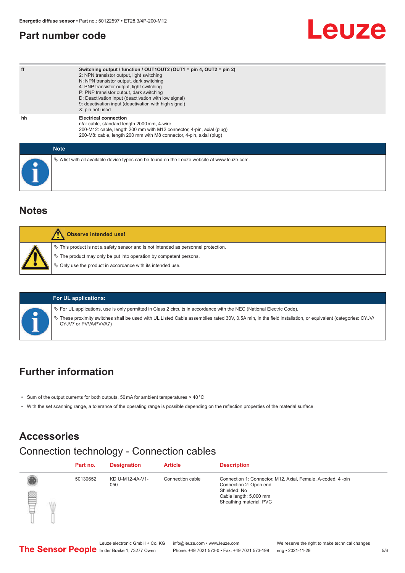#### <span id="page-4-0"></span>**Part number code**

| ff          | Switching output / function / $OUT1OUT2$ (OUT1 = pin 4, OUT2 = pin 2)<br>2: NPN transistor output, light switching<br>N: NPN transistor output, dark switching<br>4: PNP transistor output, light switching<br>P: PNP transistor output, dark switching<br>D: Deactivation input (deactivation with low signal)<br>9: deactivation input (deactivation with high signal)<br>X: pin not used |
|-------------|---------------------------------------------------------------------------------------------------------------------------------------------------------------------------------------------------------------------------------------------------------------------------------------------------------------------------------------------------------------------------------------------|
| hh          | <b>Electrical connection</b><br>n/a: cable, standard length 2000 mm, 4-wire<br>200-M12: cable, length 200 mm with M12 connector, 4-pin, axial (plug)<br>200-M8: cable, length 200 mm with M8 connector, 4-pin, axial (plug)                                                                                                                                                                 |
| <b>Note</b> |                                                                                                                                                                                                                                                                                                                                                                                             |
|             | $\&$ A list with all available device types can be found on the Leuze website at www.leuze.com.                                                                                                                                                                                                                                                                                             |

#### **Notes**

| Observe intended use!                                                                                                                                                                                                         |
|-------------------------------------------------------------------------------------------------------------------------------------------------------------------------------------------------------------------------------|
| $\%$ This product is not a safety sensor and is not intended as personnel protection.<br>$\%$ The product may only be put into operation by competent persons.<br>♦ Only use the product in accordance with its intended use. |
|                                                                                                                                                                                                                               |

|  | <b>For UL applications:</b>                                                                                                                                                     |
|--|---------------------------------------------------------------------------------------------------------------------------------------------------------------------------------|
|  | $\%$ For UL applications, use is only permitted in Class 2 circuits in accordance with the NEC (National Electric Code).                                                        |
|  | These proximity switches shall be used with UL Listed Cable assemblies rated 30V, 0.5A min, in the field installation, or equivalent (categories: CYJV/<br>CYJV7 or PVVA/PVVA7) |

### **Further information**

- Sum of the output currents for both outputs, 50 mA for ambient temperatures > 40 °C
- With the set scanning range, a tolerance of the operating range is possible depending on the reflection properties of the material surface.

#### **Accessories**

### Connection technology - Connection cables

|   | Part no. | <b>Designation</b>     | <b>Article</b>   | <b>Description</b>                                                                                                                                         |
|---|----------|------------------------|------------------|------------------------------------------------------------------------------------------------------------------------------------------------------------|
| Ê | 50130652 | KD U-M12-4A-V1-<br>050 | Connection cable | Connection 1: Connector, M12, Axial, Female, A-coded, 4-pin<br>Connection 2: Open end<br>Shielded: No<br>Cable length: 5,000 mm<br>Sheathing material: PVC |

Leuze